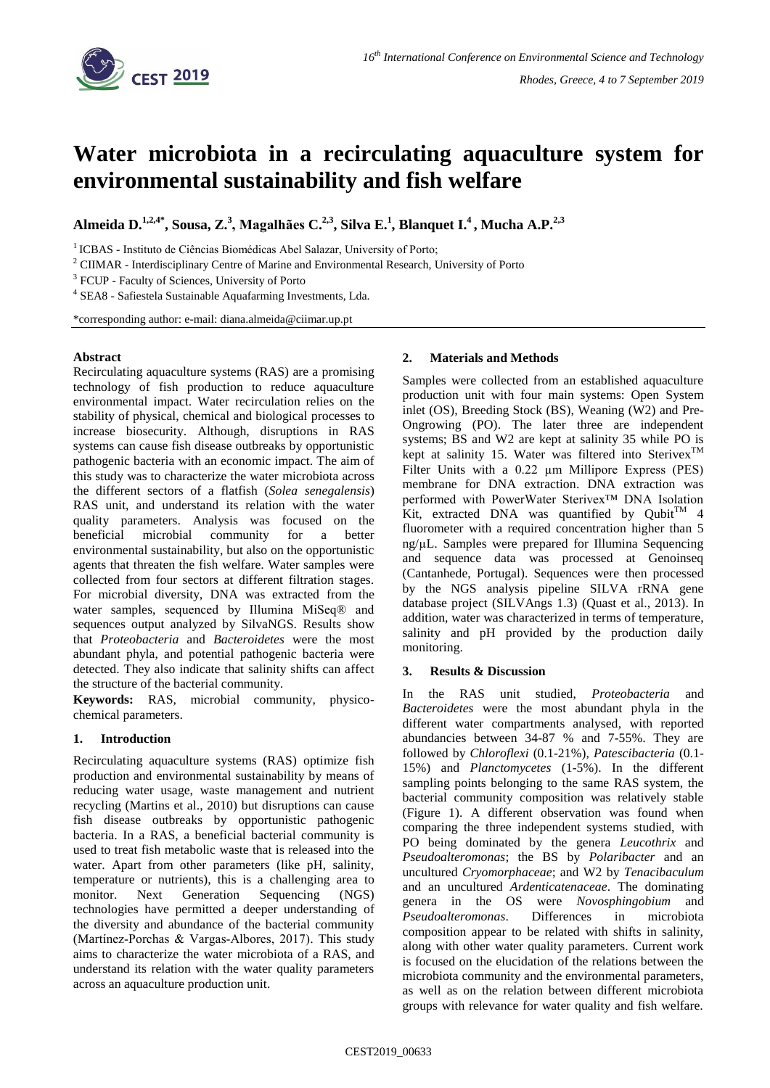

# **Water microbiota in a recirculating aquaculture system for environmental sustainability and fish welfare**

**Almeida D.1,2,4\*, Sousa, Z.<sup>3</sup> , Magalhães C. 2,3 , Silva E. 1 , Blanquet I. 4 , Mucha A.P. 2,3**

<sup>1</sup> ICBAS - Instituto de Ciências Biomédicas Abel Salazar, University of Porto;

<sup>2</sup> CIIMAR - Interdisciplinary Centre of Marine and Environmental Research, University of Porto

<sup>3</sup> FCUP - Faculty of Sciences, University of Porto

4 SEA8 - Safiestela Sustainable Aquafarming Investments, Lda.

\*corresponding author: e-mail: diana.almeida@ciimar.up.pt

## **Abstract**

Recirculating aquaculture systems (RAS) are a promising technology of fish production to reduce aquaculture environmental impact. Water recirculation relies on the stability of physical, chemical and biological processes to increase biosecurity. Although, disruptions in RAS systems can cause fish disease outbreaks by opportunistic pathogenic bacteria with an economic impact. The aim of this study was to characterize the water microbiota across the different sectors of a flatfish (*Solea senegalensis*) RAS unit, and understand its relation with the water quality parameters. Analysis was focused on the beneficial microbial community for a better environmental sustainability, but also on the opportunistic agents that threaten the fish welfare. Water samples were collected from four sectors at different filtration stages. For microbial diversity, DNA was extracted from the water samples, sequenced by Illumina MiSeq® and sequences output analyzed by SilvaNGS. Results show that *Proteobacteria* and *Bacteroidetes* were the most abundant phyla, and potential pathogenic bacteria were detected. They also indicate that salinity shifts can affect the structure of the bacterial community.

**Keywords:** RAS, microbial community, physicochemical parameters.

## **1. Introduction**

Recirculating aquaculture systems (RAS) optimize fish production and environmental sustainability by means of reducing water usage, waste management and nutrient recycling (Martins et al., 2010) but disruptions can cause fish disease outbreaks by opportunistic pathogenic bacteria. In a RAS, a beneficial bacterial community is used to treat fish metabolic waste that is released into the water. Apart from other parameters (like pH, salinity, temperature or nutrients), this is a challenging area to monitor. Next Generation Sequencing (NGS) technologies have permitted a deeper understanding of the diversity and abundance of the bacterial community (Martínez‐Porchas & Vargas‐Albores, 2017). This study aims to characterize the water microbiota of a RAS, and understand its relation with the water quality parameters across an aquaculture production unit.

## **2. Materials and Methods**

Samples were collected from an established aquaculture production unit with four main systems: Open System inlet (OS), Breeding Stock (BS), Weaning (W2) and Pre-Ongrowing (PO). The later three are independent systems; BS and W2 are kept at salinity 35 while PO is kept at salinity 15. Water was filtered into Sterivex<sup>TM</sup> Filter Units with a 0.22 µm Millipore Express (PES) membrane for DNA extraction. DNA extraction was performed with PowerWater Sterivex™ DNA Isolation Kit, extracted DNA was quantified by Qubit<sup>TM</sup> 4 fluorometer with a required concentration higher than 5 ng/µL. Samples were prepared for Illumina Sequencing and sequence data was processed at Genoinseq (Cantanhede, Portugal). Sequences were then processed by the NGS analysis pipeline SILVA rRNA gene database project (SILVAngs 1.3) (Quast et al., 2013). In addition, water was characterized in terms of temperature, salinity and pH provided by the production daily monitoring.

## **3. Results & Discussion**

In the RAS unit studied, *Proteobacteria* and *Bacteroidetes* were the most abundant phyla in the different water compartments analysed, with reported abundancies between 34-87 % and 7-55%. They are followed by *Chloroflexi* (0.1-21%), *Patescibacteria* (0.1- 15%) and *Planctomycetes* (1-5%). In the different sampling points belonging to the same RAS system, the bacterial community composition was relatively stable (Figure 1). A different observation was found when comparing the three independent systems studied, with PO being dominated by the genera *Leucothrix* and *Pseudoalteromonas*; the BS by *Polaribacter* and an uncultured *Cryomorphaceae*; and W2 by *Tenacibaculum* and an uncultured *Ardenticatenaceae*. The dominating genera in the OS were *Novosphingobium* and *Pseudoalteromonas*. Differences in microbiota composition appear to be related with shifts in salinity, along with other water quality parameters. Current work is focused on the elucidation of the relations between the microbiota community and the environmental parameters, as well as on the relation between different microbiota groups with relevance for water quality and fish welfare.